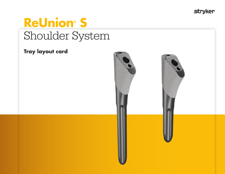**stryker** 

# **ReUnion S** Shoulder System

## **Tray layout card**

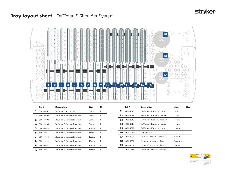## **stryker**

#### **Tray layout sheet –** ReUnion S Shoulder System



|    | Ref#      | <b>Description</b>       | <b>Size</b>      | Jty. |
|----|-----------|--------------------------|------------------|------|
|    | 5901-4001 | ReUnion S Starter awl    | 6mm              |      |
|    | 5901-4007 | ReUnion S Humeral reamer | 7mm              | 1    |
| з  | 5901-4008 | ReUnion S Humeral reamer | 8mm              |      |
| 4  | 5901-4009 | ReUnion S Humeral reamer | 9mm              | 1    |
| 5  | 5901-4010 | ReUnion S Humeral reamer | 10 <sub>mm</sub> |      |
| 6  | 5901-4011 | ReUnion S Humeral reamer | 11mm             | 1    |
|    | 5901-4012 | ReUnion S Humeral reamer | 12mm             |      |
| 8  | 5901-4013 | ReUnion S Humeral reamer | 13mm             | 1    |
| 9  | 5901-4014 | ReUnion S Humeral reamer | 14mm             |      |
| 10 | 5901-4015 | ReUnion S Humeral reamer | 15mm             |      |

|     | Ref#                | <b>Description</b>        | <b>Size</b>      | Qty. |
|-----|---------------------|---------------------------|------------------|------|
| 11  | 5901-4016           | ReUnion S Humeral reamer  | 16mm             |      |
|     | $12$ 5901-4017      | ReUnion S Humeral reamer  | 17mm             | 1    |
| 13. | 5901-4018           | ReUnion S Humeral reamer  | 18mm             |      |
| 14. | 5901-4019           | ReUnion S Humeral reamer  | 19mm             | 1    |
| 15. | 5901-4020           | ReUnion S Humeral reamer  | 20 <sub>mm</sub> |      |
|     | <b>16</b> 5901-1103 | Version rod               |                  | 1    |
|     | 5901-4002           | Humeral protector plate   | Small            | 1    |
| 18  | 5901-4003           | Humeral protector plate   | Medium           | 1    |
| 19  | 5901-4004           | Humeral protector plate   | Large            | 1    |
|     | 5901-1224           | ReUnion S Shoulder Insert |                  | 1    |

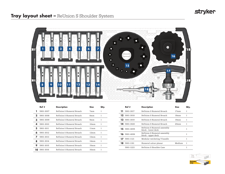### **Tray layout sheet –** ReUnion S Shoulder System



|    | Ref#      | <b>Description</b>       | <b>Size</b>      | Qty. |
|----|-----------|--------------------------|------------------|------|
|    | 5901-3007 | ReUnion S Humeral Broach | 7mm              |      |
| 2  | 5901-3008 | ReUnion S Humeral Broach | 8mm              | ı    |
| 3  | 5901-3009 | ReUnion S Humeral Broach | $9m$ m           | 1    |
| 4  | 5901-3010 | ReUnion S Humeral Broach | 10 <sub>mm</sub> | ı    |
| 5  | 5901-3011 | ReUnion S Humeral Broach | 11mm             | ı    |
| 6  | 5901-3012 | ReUnion S Humeral Broach | 12mm             | ı    |
|    | 5901-3013 | ReUnion S Humeral Broach | 13mm             | ı    |
| 8  | 5901-3014 | ReUnion S Humeral Broach | 14 <sub>mm</sub> | ı    |
| 9  | 5901-3015 | ReUnion S Humeral Broach | 15mm             | ı    |
| 10 | 5901-3016 | ReUnion S Humeral Broach | 16mm             |      |

|     | Ref #               | <b>Description</b>                               | <b>Size</b>      |   |
|-----|---------------------|--------------------------------------------------|------------------|---|
| 11. | 5901-3017           | ReUnion S Humeral Broach                         | 17mm             | ı |
|     | 12 5901-3018        | ReUnion S Humeral Broach                         | 18mm             |   |
|     | <b>13</b> 5901-3019 | ReUnion S Humeral Broach                         | 19mm             |   |
|     | 14 5901-3020        | ReUnion S Humeral Broach                         | 20 <sub>mm</sub> | 1 |
|     | 15 5901-4005        | ReUnion S Humeral assembly<br>block - lower deck |                  | 1 |
|     | $16$ 5901-4006      | ReUnion S Humeral assembly<br>block - upper deck |                  | 1 |
| 17  | 5901-1121           | Modular ratcheting T-handle                      |                  |   |
|     | 18 5901-1181        | Humeral calcar planar                            | Medium           |   |
|     | 5901-1223           | ReUnion S Shoulder Case                          |                  |   |

![](_page_2_Picture_5.jpeg)